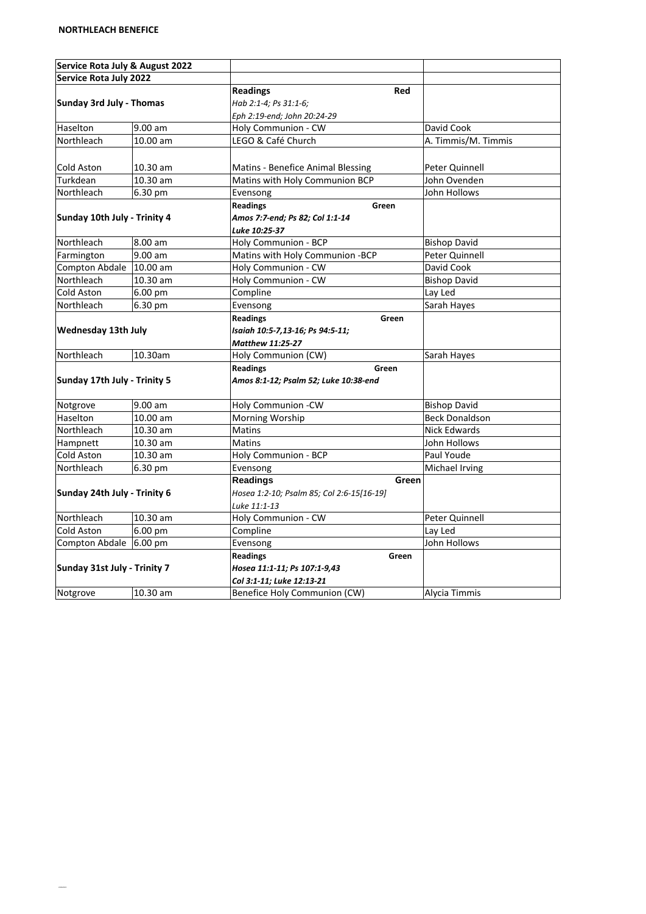| Service Rota July & August 2022 |           |                                           |                       |
|---------------------------------|-----------|-------------------------------------------|-----------------------|
| <b>Service Rota July 2022</b>   |           |                                           |                       |
| Sunday 3rd July - Thomas        |           | <b>Readings</b><br>Red                    |                       |
|                                 |           | Hab 2:1-4; Ps 31:1-6;                     |                       |
|                                 |           | Eph 2:19-end; John 20:24-29               |                       |
| Haselton                        | 9.00 am   | Holy Communion - CW                       | David Cook            |
| Northleach                      | 10.00 am  | LEGO & Café Church                        | A. Timmis/M. Timmis   |
|                                 |           |                                           |                       |
| Cold Aston                      | 10.30 am  | Matins - Benefice Animal Blessing         | Peter Quinnell        |
| Turkdean                        | 10.30 am  | Matins with Holy Communion BCP            | John Ovenden          |
| Northleach                      | 6.30 pm   | Evensong                                  | John Hollows          |
|                                 |           | <b>Readings</b><br>Green                  |                       |
| Sunday 10th July - Trinity 4    |           | Amos 7:7-end; Ps 82; Col 1:1-14           |                       |
|                                 |           | <b>Luke 10:25-37</b>                      |                       |
| Northleach                      | 8.00 am   | Holy Communion - BCP                      | <b>Bishop David</b>   |
| Farmington                      | 9.00 am   | Matins with Holy Communion -BCP           | Peter Quinnell        |
| <b>Compton Abdale</b>           | 10.00 am  | Holy Communion - CW                       | David Cook            |
| Northleach                      | 10.30 am  | Holy Communion - CW                       | <b>Bishop David</b>   |
| Cold Aston                      | $6.00$ pm | Compline                                  | Lay Led               |
| Northleach                      | 6.30 pm   | Evensong                                  | Sarah Hayes           |
|                                 |           | <b>Readings</b><br>Green                  |                       |
| <b>Wednesday 13th July</b>      |           | Isaiah 10:5-7,13-16; Ps 94:5-11;          |                       |
|                                 |           | <b>Matthew 11:25-27</b>                   |                       |
| Northleach                      | 10.30am   | Holy Communion (CW)                       | Sarah Hayes           |
|                                 |           | <b>Readings</b><br>Green                  |                       |
| Sunday 17th July - Trinity 5    |           | Amos 8:1-12; Psalm 52; Luke 10:38-end     |                       |
|                                 |           |                                           |                       |
| Notgrove                        | 9.00 am   | Holy Communion -CW                        | <b>Bishop David</b>   |
| Haselton                        | 10.00 am  | Morning Worship                           | <b>Beck Donaldson</b> |
| Northleach                      | 10.30 am  | Matins                                    | Nick Edwards          |
| Hampnett                        | 10.30 am  | Matins                                    | John Hollows          |
| Cold Aston                      | 10.30 am  | Holy Communion - BCP                      | Paul Youde            |
| Northleach                      | 6.30 pm   | Evensong                                  | Michael Irving        |
|                                 |           | <b>Readings</b><br>Green                  |                       |
| Sunday 24th July - Trinity 6    |           | Hosea 1:2-10; Psalm 85; Col 2:6-15[16-19] |                       |
|                                 |           | Luke 11:1-13                              |                       |
| Northleach                      | 10.30 am  | Holy Communion - CW                       | Peter Quinnell        |
| Cold Aston                      | 6.00 pm   | Compline                                  | Lay Led               |
| Compton Abdale 6.00 pm          |           | Evensong                                  | John Hollows          |
|                                 |           | <b>Readings</b><br>Green                  |                       |
| Sunday 31st July - Trinity 7    |           | Hosea 11:1-11; Ps 107:1-9,43              |                       |
|                                 |           | Col 3:1-11; Luke 12:13-21                 |                       |
| Notgrove                        | 10.30 am  | Benefice Holy Communion (CW)              | Alycia Timmis         |